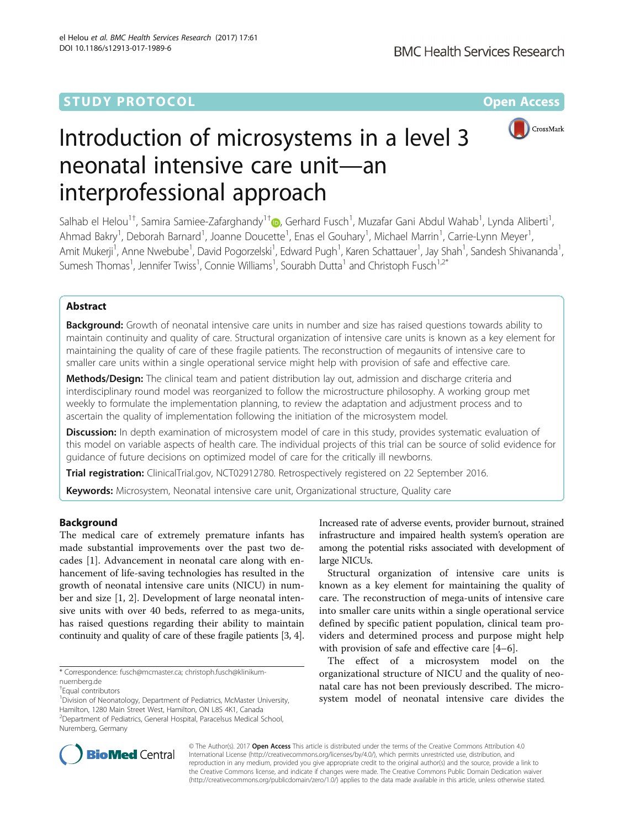## **STUDY PROTOCOL CONSUMING THE RESERVE ACCESS**



# Introduction of microsystems in a level 3 neonatal intensive care unit—an interprofessional approach

Salhab el Helou<sup>1†</sup>[,](http://orcid.org/0000-0002-8137-4383) Samira Samiee-Zafarghandy<sup>1†</sup>®, Gerhard Fusch<sup>1</sup>, Muzafar Gani Abdul Wahab<sup>1</sup>, Lynda Aliberti<sup>1</sup> , Ahmad Bakry<sup>1</sup>, Deborah Barnard<sup>1</sup>, Joanne Doucette<sup>1</sup>, Enas el Gouhary<sup>1</sup>, Michael Marrin<sup>1</sup>, Carrie-Lynn Meyer<sup>1</sup> , Amit Mukerji<sup>1</sup>, Anne Nwebube<sup>1</sup>, David Pogorzelski<sup>1</sup>, Edward Pugh<sup>1</sup>, Karen Schattauer<sup>1</sup>, Jay Shah<sup>1</sup>, Sandesh Shivananda<sup>1</sup> , Sumesh Thomas<sup>1</sup>, Jennifer Twiss<sup>1</sup>, Connie Williams<sup>1</sup>, Sourabh Dutta<sup>1</sup> and Christoph Fusch<sup>1,2\*</sup>

## Abstract

**Background:** Growth of neonatal intensive care units in number and size has raised questions towards ability to maintain continuity and quality of care. Structural organization of intensive care units is known as a key element for maintaining the quality of care of these fragile patients. The reconstruction of megaunits of intensive care to smaller care units within a single operational service might help with provision of safe and effective care.

Methods/Design: The clinical team and patient distribution lay out, admission and discharge criteria and interdisciplinary round model was reorganized to follow the microstructure philosophy. A working group met weekly to formulate the implementation planning, to review the adaptation and adjustment process and to ascertain the quality of implementation following the initiation of the microsystem model.

Discussion: In depth examination of microsystem model of care in this study, provides systematic evaluation of this model on variable aspects of health care. The individual projects of this trial can be source of solid evidence for guidance of future decisions on optimized model of care for the critically ill newborns.

Trial registration: ClinicalTrial.gov, [NCT02912780](https://clinicaltrials.gov/ct2/show/NCT/02912780). Retrospectively registered on 22 September 2016.

Keywords: Microsystem, Neonatal intensive care unit, Organizational structure, Quality care

## Background

The medical care of extremely premature infants has made substantial improvements over the past two decades [[1\]](#page-6-0). Advancement in neonatal care along with enhancement of life-saving technologies has resulted in the growth of neonatal intensive care units (NICU) in number and size [[1, 2\]](#page-6-0). Development of large neonatal intensive units with over 40 beds, referred to as mega-units, has raised questions regarding their ability to maintain continuity and quality of care of these fragile patients [\[3, 4](#page-6-0)].

Increased rate of adverse events, provider burnout, strained infrastructure and impaired health system's operation are among the potential risks associated with development of large NICUs.

Structural organization of intensive care units is known as a key element for maintaining the quality of care. The reconstruction of mega-units of intensive care into smaller care units within a single operational service defined by specific patient population, clinical team providers and determined process and purpose might help with provision of safe and effective care [\[4](#page-6-0)–[6](#page-6-0)].

The effect of a microsystem model on the organizational structure of NICU and the quality of neonatal care has not been previously described. The microsystem model of neonatal intensive care divides the



© The Author(s). 2017 **Open Access** This article is distributed under the terms of the Creative Commons Attribution 4.0 International License [\(http://creativecommons.org/licenses/by/4.0/](http://creativecommons.org/licenses/by/4.0/)), which permits unrestricted use, distribution, and reproduction in any medium, provided you give appropriate credit to the original author(s) and the source, provide a link to the Creative Commons license, and indicate if changes were made. The Creative Commons Public Domain Dedication waiver [\(http://creativecommons.org/publicdomain/zero/1.0/](http://creativecommons.org/publicdomain/zero/1.0/)) applies to the data made available in this article, unless otherwise stated.

<sup>\*</sup> Correspondence: [fusch@mcmaster.ca](mailto:fusch@mcmaster.ca); [christoph.fusch@klinikum](mailto:christoph.fusch@klinikum-nuernberg.de)[nuernberg.de](mailto:christoph.fusch@klinikum-nuernberg.de)

<sup>†</sup> Equal contributors

<sup>&</sup>lt;sup>1</sup> Division of Neonatology, Department of Pediatrics, McMaster University, Hamilton, 1280 Main Street West, Hamilton, ON L8S 4K1, Canada <sup>2</sup> Department of Pediatrics, General Hospital, Paracelsus Medical School, Nuremberg, Germany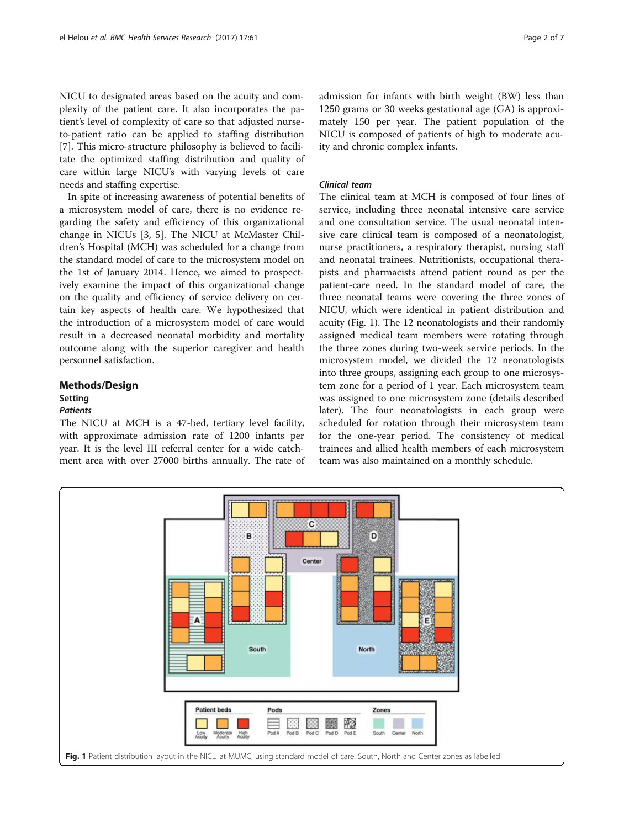<span id="page-1-0"></span>NICU to designated areas based on the acuity and complexity of the patient care. It also incorporates the patient's level of complexity of care so that adjusted nurseto-patient ratio can be applied to staffing distribution [[7\]](#page-6-0). This micro-structure philosophy is believed to facilitate the optimized staffing distribution and quality of care within large NICU's with varying levels of care needs and staffing expertise.

In spite of increasing awareness of potential benefits of a microsystem model of care, there is no evidence regarding the safety and efficiency of this organizational change in NICUs [\[3](#page-6-0), [5](#page-6-0)]. The NICU at McMaster Children's Hospital (MCH) was scheduled for a change from the standard model of care to the microsystem model on the 1st of January 2014. Hence, we aimed to prospectively examine the impact of this organizational change on the quality and efficiency of service delivery on certain key aspects of health care. We hypothesized that the introduction of a microsystem model of care would result in a decreased neonatal morbidity and mortality outcome along with the superior caregiver and health personnel satisfaction.

## Methods/Design **Setting**

## Patients

The NICU at MCH is a 47-bed, tertiary level facility, with approximate admission rate of 1200 infants per year. It is the level III referral center for a wide catchment area with over 27000 births annually. The rate of admission for infants with birth weight (BW) less than 1250 grams or 30 weeks gestational age (GA) is approximately 150 per year. The patient population of the NICU is composed of patients of high to moderate acuity and chronic complex infants.

## Clinical team

The clinical team at MCH is composed of four lines of service, including three neonatal intensive care service and one consultation service. The usual neonatal intensive care clinical team is composed of a neonatologist, nurse practitioners, a respiratory therapist, nursing staff and neonatal trainees. Nutritionists, occupational therapists and pharmacists attend patient round as per the patient-care need. In the standard model of care, the three neonatal teams were covering the three zones of NICU, which were identical in patient distribution and acuity (Fig. 1). The 12 neonatologists and their randomly assigned medical team members were rotating through the three zones during two-week service periods. In the microsystem model, we divided the 12 neonatologists into three groups, assigning each group to one microsystem zone for a period of 1 year. Each microsystem team was assigned to one microsystem zone (details described later). The four neonatologists in each group were scheduled for rotation through their microsystem team for the one-year period. The consistency of medical trainees and allied health members of each microsystem team was also maintained on a monthly schedule.

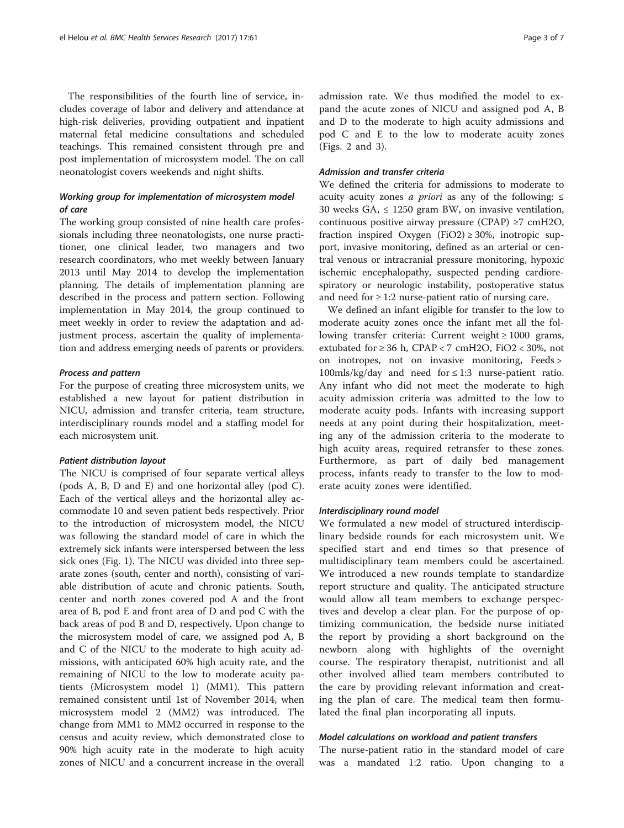The responsibilities of the fourth line of service, includes coverage of labor and delivery and attendance at high-risk deliveries, providing outpatient and inpatient maternal fetal medicine consultations and scheduled teachings. This remained consistent through pre and post implementation of microsystem model. The on call neonatologist covers weekends and night shifts.

## Working group for implementation of microsystem model of care

The working group consisted of nine health care professionals including three neonatologists, one nurse practitioner, one clinical leader, two managers and two research coordinators, who met weekly between January 2013 until May 2014 to develop the implementation planning. The details of implementation planning are described in the process and pattern section. Following implementation in May 2014, the group continued to meet weekly in order to review the adaptation and adjustment process, ascertain the quality of implementation and address emerging needs of parents or providers.

## Process and pattern

For the purpose of creating three microsystem units, we established a new layout for patient distribution in NICU, admission and transfer criteria, team structure, interdisciplinary rounds model and a staffing model for each microsystem unit.

#### Patient distribution layout

The NICU is comprised of four separate vertical alleys (pods A, B, D and E) and one horizontal alley (pod C). Each of the vertical alleys and the horizontal alley accommodate 10 and seven patient beds respectively. Prior to the introduction of microsystem model, the NICU was following the standard model of care in which the extremely sick infants were interspersed between the less sick ones (Fig. [1](#page-1-0)). The NICU was divided into three separate zones (south, center and north), consisting of variable distribution of acute and chronic patients. South, center and north zones covered pod A and the front area of B, pod E and front area of D and pod C with the back areas of pod B and D, respectively. Upon change to the microsystem model of care, we assigned pod A, B and C of the NICU to the moderate to high acuity admissions, with anticipated 60% high acuity rate, and the remaining of NICU to the low to moderate acuity patients (Microsystem model 1) (MM1). This pattern remained consistent until 1st of November 2014, when microsystem model 2 (MM2) was introduced. The change from MM1 to MM2 occurred in response to the census and acuity review, which demonstrated close to 90% high acuity rate in the moderate to high acuity zones of NICU and a concurrent increase in the overall

admission rate. We thus modified the model to expand the acute zones of NICU and assigned pod A, B and D to the moderate to high acuity admissions and pod C and E to the low to moderate acuity zones (Figs. [2](#page-3-0) and [3\)](#page-3-0).

## Admission and transfer criteria

We defined the criteria for admissions to moderate to acuity acuity zones *a priori* as any of the following:  $\leq$ 30 weeks GA,  $\leq$  1250 gram BW, on invasive ventilation, continuous positive airway pressure (CPAP) ≥7 cmH2O, fraction inspired Oxygen (FiO2)  $\geq$  30%, inotropic support, invasive monitoring, defined as an arterial or central venous or intracranial pressure monitoring, hypoxic ischemic encephalopathy, suspected pending cardiorespiratory or neurologic instability, postoperative status and need for  $\geq 1:2$  nurse-patient ratio of nursing care.

We defined an infant eligible for transfer to the low to moderate acuity zones once the infant met all the following transfer criteria: Current weight ≥ 1000 grams, extubated for  $\geq 36$  h, CPAP < 7 cmH2O, FiO2 < 30%, not on inotropes, not on invasive monitoring, Feeds >  $100$ mls/kg/day and need for  $\leq 1:3$  nurse-patient ratio. Any infant who did not meet the moderate to high acuity admission criteria was admitted to the low to moderate acuity pods. Infants with increasing support needs at any point during their hospitalization, meeting any of the admission criteria to the moderate to high acuity areas, required retransfer to these zones. Furthermore, as part of daily bed management process, infants ready to transfer to the low to moderate acuity zones were identified.

#### Interdisciplinary round model

We formulated a new model of structured interdisciplinary bedside rounds for each microsystem unit. We specified start and end times so that presence of multidisciplinary team members could be ascertained. We introduced a new rounds template to standardize report structure and quality. The anticipated structure would allow all team members to exchange perspectives and develop a clear plan. For the purpose of optimizing communication, the bedside nurse initiated the report by providing a short background on the newborn along with highlights of the overnight course. The respiratory therapist, nutritionist and all other involved allied team members contributed to the care by providing relevant information and creating the plan of care. The medical team then formulated the final plan incorporating all inputs.

### Model calculations on workload and patient transfers

The nurse-patient ratio in the standard model of care was a mandated 1:2 ratio. Upon changing to a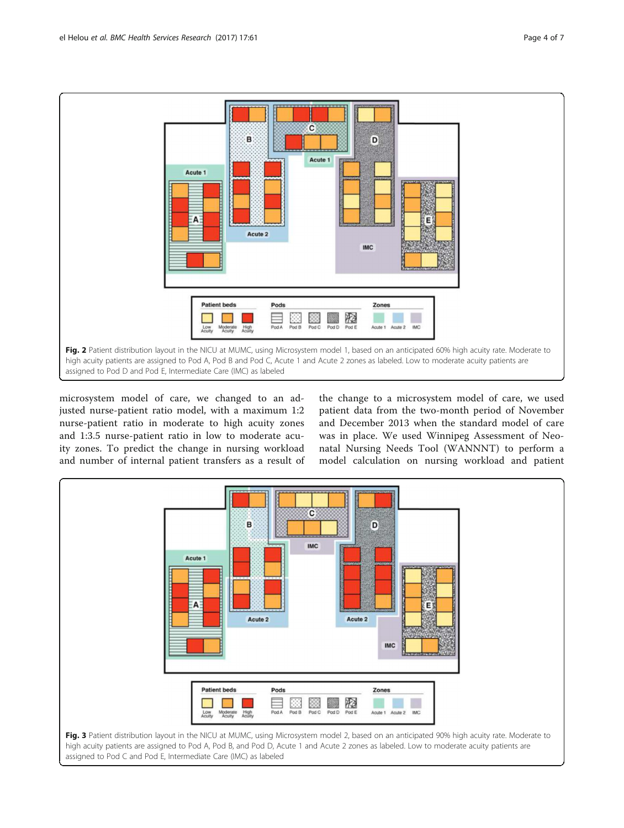<span id="page-3-0"></span>

microsystem model of care, we changed to an adjusted nurse-patient ratio model, with a maximum 1:2 nurse-patient ratio in moderate to high acuity zones and 1:3.5 nurse-patient ratio in low to moderate acuity zones. To predict the change in nursing workload and number of internal patient transfers as a result of

the change to a microsystem model of care, we used patient data from the two-month period of November and December 2013 when the standard model of care was in place. We used Winnipeg Assessment of Neonatal Nursing Needs Tool (WANNNT) to perform a model calculation on nursing workload and patient

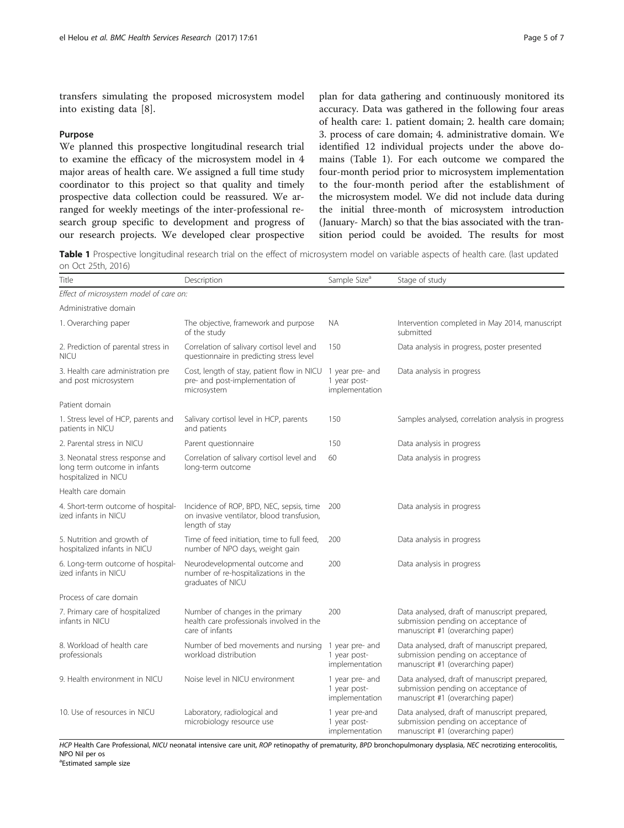transfers simulating the proposed microsystem model into existing data [[8\]](#page-6-0).

## Purpose

We planned this prospective longitudinal research trial to examine the efficacy of the microsystem model in 4 major areas of health care. We assigned a full time study coordinator to this project so that quality and timely prospective data collection could be reassured. We arranged for weekly meetings of the inter-professional research group specific to development and progress of our research projects. We developed clear prospective

plan for data gathering and continuously monitored its accuracy. Data was gathered in the following four areas of health care: 1. patient domain; 2. health care domain; 3. process of care domain; 4. administrative domain. We identified 12 individual projects under the above domains (Table 1). For each outcome we compared the four-month period prior to microsystem implementation to the four-month period after the establishment of the microsystem model. We did not include data during the initial three-month of microsystem introduction (January- March) so that the bias associated with the transition period could be avoided. The results for most

Table 1 Prospective longitudinal research trial on the effect of microsystem model on variable aspects of health care. (last updated on Oct 25th, 2016)

| Title                                                                                   | Description                                                                                              | Sample Size <sup>a</sup>                          | Stage of study                                                                                                           |
|-----------------------------------------------------------------------------------------|----------------------------------------------------------------------------------------------------------|---------------------------------------------------|--------------------------------------------------------------------------------------------------------------------------|
| Effect of microsystem model of care on:                                                 |                                                                                                          |                                                   |                                                                                                                          |
| Administrative domain                                                                   |                                                                                                          |                                                   |                                                                                                                          |
| 1. Overarching paper                                                                    | The objective, framework and purpose<br>of the study                                                     | <b>NA</b>                                         | Intervention completed in May 2014, manuscript<br>submitted                                                              |
| 2. Prediction of parental stress in<br><b>NICU</b>                                      | Correlation of salivary cortisol level and<br>questionnaire in predicting stress level                   | 150                                               | Data analysis in progress, poster presented                                                                              |
| 3. Health care administration pre<br>and post microsystem                               | Cost, length of stay, patient flow in NICU<br>pre- and post-implementation of<br>microsystem             | 1 year pre- and<br>1 year post-<br>implementation | Data analysis in progress                                                                                                |
| Patient domain                                                                          |                                                                                                          |                                                   |                                                                                                                          |
| 1. Stress level of HCP, parents and<br>patients in NICU                                 | Salivary cortisol level in HCP, parents<br>and patients                                                  | 150                                               | Samples analysed, correlation analysis in progress                                                                       |
| 2. Parental stress in NICU                                                              | Parent questionnaire                                                                                     | 150                                               | Data analysis in progress                                                                                                |
| 3. Neonatal stress response and<br>long term outcome in infants<br>hospitalized in NICU | Correlation of salivary cortisol level and<br>long-term outcome                                          | 60                                                | Data analysis in progress                                                                                                |
| Health care domain                                                                      |                                                                                                          |                                                   |                                                                                                                          |
| 4. Short-term outcome of hospital-<br>ized infants in NICU                              | Incidence of ROP, BPD, NEC, sepsis, time<br>on invasive ventilator, blood transfusion,<br>length of stay | 200                                               | Data analysis in progress                                                                                                |
| 5. Nutrition and growth of<br>hospitalized infants in NICU                              | Time of feed initiation, time to full feed,<br>number of NPO days, weight gain                           | 200                                               | Data analysis in progress                                                                                                |
| 6. Long-term outcome of hospital-<br>ized infants in NICU                               | Neurodevelopmental outcome and<br>number of re-hospitalizations in the<br>graduates of NICU              | 200                                               | Data analysis in progress                                                                                                |
| Process of care domain                                                                  |                                                                                                          |                                                   |                                                                                                                          |
| 7. Primary care of hospitalized<br>infants in NICU                                      | Number of changes in the primary<br>health care professionals involved in the<br>care of infants         | 200                                               | Data analysed, draft of manuscript prepared,<br>submission pending on acceptance of<br>manuscript #1 (overarching paper) |
| 8. Workload of health care<br>professionals                                             | Number of bed movements and nursing<br>workload distribution                                             | 1 year pre- and<br>1 year post-<br>implementation | Data analysed, draft of manuscript prepared,<br>submission pending on acceptance of<br>manuscript #1 (overarching paper) |
| 9. Health environment in NICU                                                           | Noise level in NICU environment                                                                          | 1 year pre- and<br>1 year post-<br>implementation | Data analysed, draft of manuscript prepared,<br>submission pending on acceptance of<br>manuscript #1 (overarching paper) |
| 10. Use of resources in NICU                                                            | Laboratory, radiological and<br>microbiology resource use                                                | 1 year pre-and<br>1 year post-<br>implementation  | Data analysed, draft of manuscript prepared,<br>submission pending on acceptance of<br>manuscript #1 (overarching paper) |

HCP Health Care Professional, NICU neonatal intensive care unit, ROP retinopathy of prematurity, BPD bronchopulmonary dysplasia, NEC necrotizing enterocolitis, NPO Nil per os

a Estimated sample size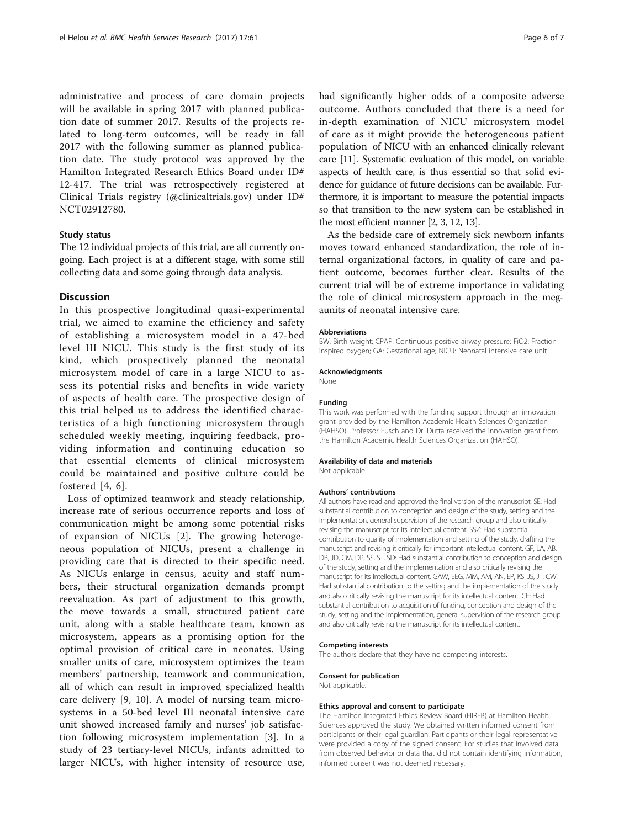administrative and process of care domain projects will be available in spring 2017 with planned publication date of summer 2017. Results of the projects related to long-term outcomes, will be ready in fall 2017 with the following summer as planned publication date. The study protocol was approved by the Hamilton Integrated Research Ethics Board under ID# 12-417. The trial was retrospectively registered at Clinical Trials registry (@clinicaltrials.gov) under ID# NCT02912780.

## Study status

The 12 individual projects of this trial, are all currently ongoing. Each project is at a different stage, with some still collecting data and some going through data analysis.

## **Discussion**

In this prospective longitudinal quasi-experimental trial, we aimed to examine the efficiency and safety of establishing a microsystem model in a 47-bed level III NICU. This study is the first study of its kind, which prospectively planned the neonatal microsystem model of care in a large NICU to assess its potential risks and benefits in wide variety of aspects of health care. The prospective design of this trial helped us to address the identified characteristics of a high functioning microsystem through scheduled weekly meeting, inquiring feedback, providing information and continuing education so that essential elements of clinical microsystem could be maintained and positive culture could be fostered [[4](#page-6-0), [6\]](#page-6-0).

Loss of optimized teamwork and steady relationship, increase rate of serious occurrence reports and loss of communication might be among some potential risks of expansion of NICUs [[2\]](#page-6-0). The growing heterogeneous population of NICUs, present a challenge in providing care that is directed to their specific need. As NICUs enlarge in census, acuity and staff numbers, their structural organization demands prompt reevaluation. As part of adjustment to this growth, the move towards a small, structured patient care unit, along with a stable healthcare team, known as microsystem, appears as a promising option for the optimal provision of critical care in neonates. Using smaller units of care, microsystem optimizes the team members' partnership, teamwork and communication, all of which can result in improved specialized health care delivery [[9, 10](#page-6-0)]. A model of nursing team microsystems in a 50-bed level III neonatal intensive care unit showed increased family and nurses' job satisfaction following microsystem implementation [[3\]](#page-6-0). In a study of 23 tertiary-level NICUs, infants admitted to larger NICUs, with higher intensity of resource use, had significantly higher odds of a composite adverse outcome. Authors concluded that there is a need for in-depth examination of NICU microsystem model of care as it might provide the heterogeneous patient population of NICU with an enhanced clinically relevant care [[11](#page-6-0)]. Systematic evaluation of this model, on variable aspects of health care, is thus essential so that solid evidence for guidance of future decisions can be available. Furthermore, it is important to measure the potential impacts so that transition to the new system can be established in the most efficient manner [\[2](#page-6-0), [3](#page-6-0), [12](#page-6-0), [13](#page-6-0)].

As the bedside care of extremely sick newborn infants moves toward enhanced standardization, the role of internal organizational factors, in quality of care and patient outcome, becomes further clear. Results of the current trial will be of extreme importance in validating the role of clinical microsystem approach in the megaunits of neonatal intensive care.

#### Abbreviations

BW: Birth weight; CPAP: Continuous positive airway pressure; FiO2: Fraction inspired oxygen; GA: Gestational age; NICU: Neonatal intensive care unit

#### Acknowledgments

None

#### Funding

This work was performed with the funding support through an innovation grant provided by the Hamilton Academic Health Sciences Organization (HAHSO). Professor Fusch and Dr. Dutta received the innovation grant from the Hamilton Academic Health Sciences Organization (HAHSO).

#### Availability of data and materials

Not applicable.

#### Authors' contributions

All authors have read and approved the final version of the manuscript. SE: Had substantial contribution to conception and design of the study, setting and the implementation, general supervision of the research group and also critically revising the manuscript for its intellectual content. SSZ: Had substantial contribution to quality of implementation and setting of the study, drafting the manuscript and revising it critically for important intellectual content. GF, LA, AB, DB, JD, CM, DP, SS, ST, SD: Had substantial contribution to conception and design of the study, setting and the implementation and also critically revising the manuscript for its intellectual content. GAW, EEG, MM, AM, AN, EP, KS, JS, JT, CW: Had substantial contribution to the setting and the implementation of the study and also critically revising the manuscript for its intellectual content. CF: Had substantial contribution to acquisition of funding, conception and design of the study, setting and the implementation, general supervision of the research group and also critically revising the manuscript for its intellectual content.

#### Competing interests

The authors declare that they have no competing interests.

#### Consent for publication

Not applicable.

#### Ethics approval and consent to participate

The Hamilton Integrated Ethics Review Board (HIREB) at Hamilton Health Sciences approved the study. We obtained written informed consent from participants or their legal guardian. Participants or their legal representative were provided a copy of the signed consent. For studies that involved data from observed behavior or data that did not contain identifying information, informed consent was not deemed necessary.